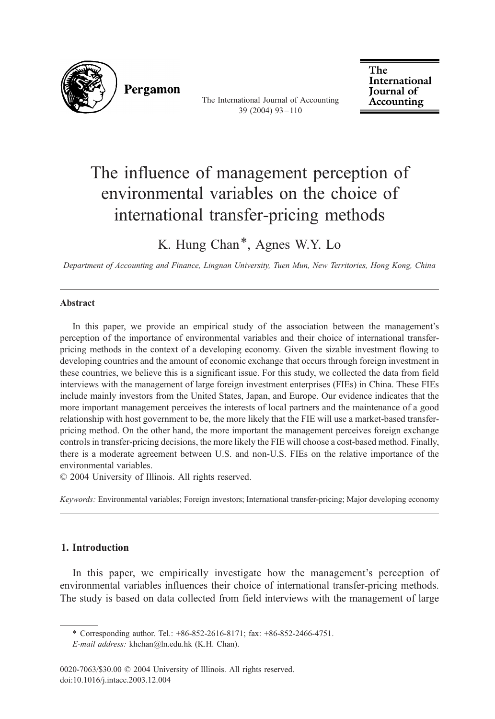

Pergamon

The International Journal of Accounting 39 (2004) 93 – 110

The International **Journal** of Accounting

## The influence of management perception of environmental variables on the choice of international transfer-pricing methods

K. Hung Chan\*, Agnes W.Y. Lo

Department of Accounting and Finance, Lingnan University, Tuen Mun, New Territories, Hong Kong, China

## Abstract

In this paper, we provide an empirical study of the association between the management's perception of the importance of environmental variables and their choice of international transferpricing methods in the context of a developing economy. Given the sizable investment flowing to developing countries and the amount of economic exchange that occurs through foreign investment in these countries, we believe this is a significant issue. For this study, we collected the data from field interviews with the management of large foreign investment enterprises (FIEs) in China. These FIEs include mainly investors from the United States, Japan, and Europe. Our evidence indicates that the more important management perceives the interests of local partners and the maintenance of a good relationship with host government to be, the more likely that the FIE will use a market-based transferpricing method. On the other hand, the more important the management perceives foreign exchange controls in transfer-pricing decisions, the more likely the FIE will choose a cost-based method. Finally, there is a moderate agreement between U.S. and non-U.S. FIEs on the relative importance of the environmental variables.

 $©$  2004 University of Illinois. All rights reserved.

Keywords: Environmental variables; Foreign investors; International transfer-pricing; Major developing economy

## 1. Introduction

In this paper, we empirically investigate how the management's perception of environmental variables influences their choice of international transfer-pricing methods. The study is based on data collected from field interviews with the management of large

<sup>\*</sup> Corresponding author. Tel.: +86-852-2616-8171; fax: +86-852-2466-4751.

E-mail address: khchan@ln.edu.hk (K.H. Chan).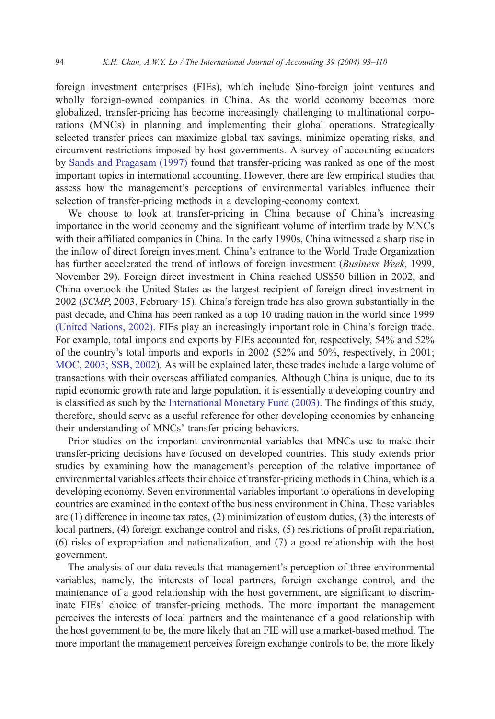foreign investment enterprises (FIEs), which include Sino-foreign joint ventures and wholly foreign-owned companies in China. As the world economy becomes more globalized, transfer-pricing has become increasingly challenging to multinational corporations (MNCs) in planning and implementing their global operations. Strategically selected transfer prices can maximize global tax savings, minimize operating risks, and circumvent restrictions imposed by host governments. A survey of accounting educators by [Sands and Pragasam \(1997\)](#page--1-0) found that transfer-pricing was ranked as one of the most important topics in international accounting. However, there are few empirical studies that assess how the management's perceptions of environmental variables influence their selection of transfer-pricing methods in a developing-economy context.

We choose to look at transfer-pricing in China because of China's increasing importance in the world economy and the significant volume of interfirm trade by MNCs with their affiliated companies in China. In the early 1990s, China witnessed a sharp rise in the inflow of direct foreign investment. China's entrance to the World Trade Organization has further accelerated the trend of inflows of foreign investment ([Business Week](#page--1-0), 1999, November 29). Foreign direct investment in China reached US\$50 billion in 2002, and China overtook the United States as the largest recipient of foreign direct investment in 2002 (SCMP[, 2003, February 15\).](#page--1-0) China's foreign trade has also grown substantially in the past decade, and China has been ranked as a top 10 trading nation in the world since 1999 [\(United Nations, 2002\).](#page--1-0) FIEs play an increasingly important role in China's foreign trade. For example, total imports and exports by FIEs accounted for, respectively, 54% and 52% of the country's total imports and exports in 2002 (52% and 50%, respectively, in 2001; [MOC, 2003; SSB, 2002\)](#page--1-0). As will be explained later, these trades include a large volume of transactions with their overseas affiliated companies. Although China is unique, due to its rapid economic growth rate and large population, it is essentially a developing country and is classified as such by the [International Monetary Fund \(2003\).](#page--1-0) The findings of this study, therefore, should serve as a useful reference for other developing economies by enhancing their understanding of MNCs' transfer-pricing behaviors.

Prior studies on the important environmental variables that MNCs use to make their transfer-pricing decisions have focused on developed countries. This study extends prior studies by examining how the management's perception of the relative importance of environmental variables affects their choice of transfer-pricing methods in China, which is a developing economy. Seven environmental variables important to operations in developing countries are examined in the context of the business environment in China. These variables are (1) difference in income tax rates, (2) minimization of custom duties, (3) the interests of local partners, (4) foreign exchange control and risks, (5) restrictions of profit repatriation, (6) risks of expropriation and nationalization, and (7) a good relationship with the host government.

The analysis of our data reveals that management's perception of three environmental variables, namely, the interests of local partners, foreign exchange control, and the maintenance of a good relationship with the host government, are significant to discriminate FIEs' choice of transfer-pricing methods. The more important the management perceives the interests of local partners and the maintenance of a good relationship with the host government to be, the more likely that an FIE will use a market-based method. The more important the management perceives foreign exchange controls to be, the more likely